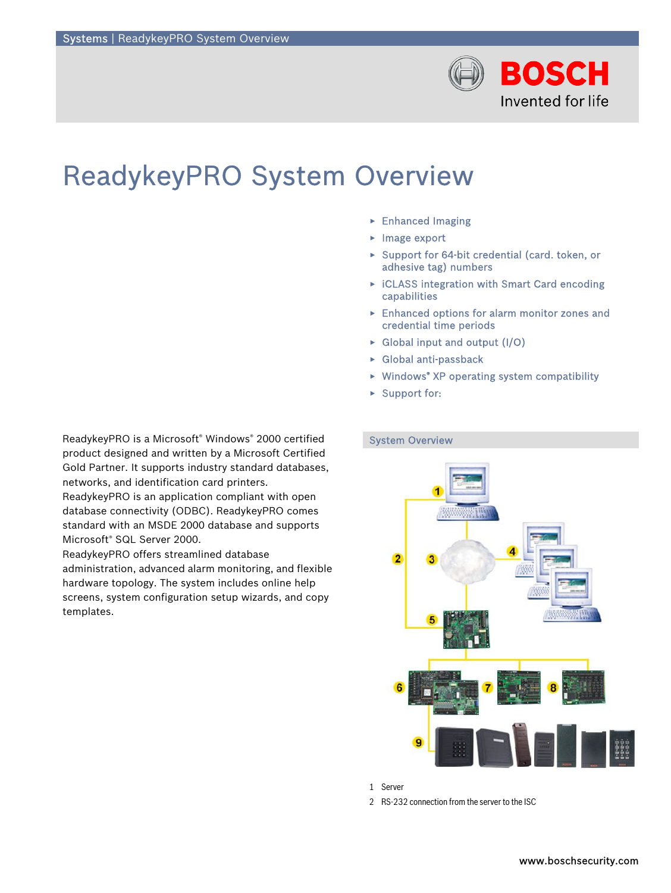

## ReadykeyPRO System Overview

- ▶ Enhanced Imaging
- ▶ Image export
- ▶ Support for 64-bit credential (card. token, or adhesive tag) numbers
- ▶ iCLASS integration with Smart Card encoding capabilities
- ▶ Enhanced options for alarm monitor zones and credential time periods
- $\triangleright$  Global input and output (I/O)
- ▶ Global anti-passback
- ▶ Windows<sup>®</sup> XP operating system compatibility
- ▶ Support for:

ReadykeyPRO is a Microsoft® Windows® 2000 certified product designed and written by a Microsoft Certified Gold Partner. It supports industry standard databases, networks, and identification card printers.

ReadykeyPRO is an application compliant with open database connectivity (ODBC). ReadykeyPRO comes standard with an MSDE 2000 database and supports Microsoft® SQL Server 2000.

ReadykeyPRO offers streamlined database

administration, advanced alarm monitoring, and flexible hardware topology. The system includes online help screens, system configuration setup wizards, and copy templates.

#### System Overview



1 Server

2 RS-232 connection from the server to the ISC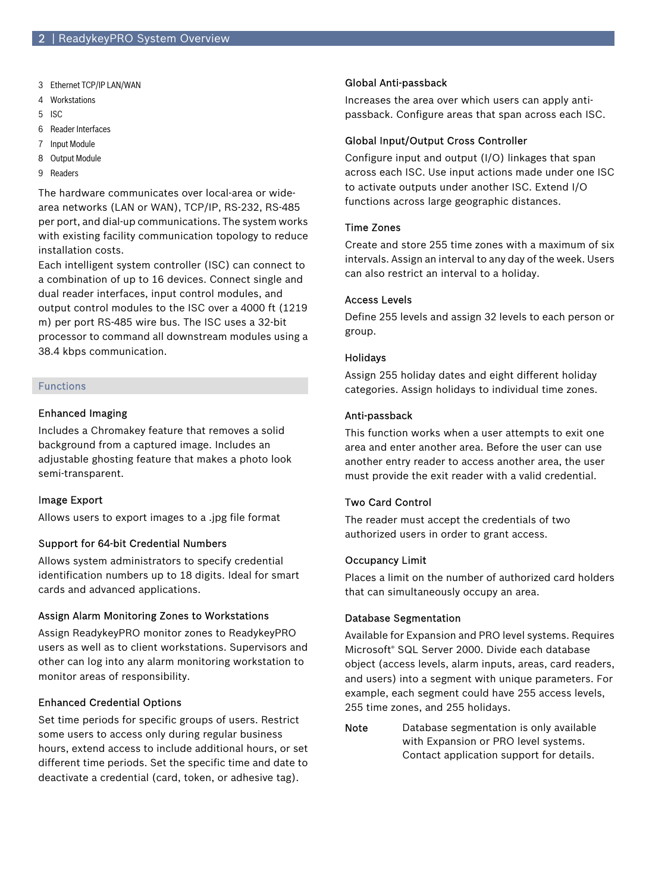- 3 Ethernet TCP/IP LAN/WAN
- 4 Workstations
- 5 ISC
- 6 Reader Interfaces
- 7 Input Module
- 8 Output Module
- 9 Readers

The hardware communicates over local-area or widearea networks (LAN or WAN), TCP/IP, RS-232, RS-485 per port, and dial-up communications. The system works with existing facility communication topology to reduce installation costs.

Each intelligent system controller (ISC) can connect to a combination of up to 16 devices. Connect single and dual reader interfaces, input control modules, and output control modules to the ISC over a 4000 ft (1219 m) per port RS-485 wire bus. The ISC uses a 32-bit processor to command all downstream modules using a 38.4 kbps communication.

#### Functions

#### Enhanced Imaging

Includes a Chromakey feature that removes a solid background from a captured image. Includes an adjustable ghosting feature that makes a photo look semi-transparent.

#### Image Export

Allows users to export images to a .jpg file format

#### Support for 64-bit Credential Numbers

Allows system administrators to specify credential identification numbers up to 18 digits. Ideal for smart cards and advanced applications.

#### Assign Alarm Monitoring Zones to Workstations

Assign ReadykeyPRO monitor zones to ReadykeyPRO users as well as to client workstations. Supervisors and other can log into any alarm monitoring workstation to monitor areas of responsibility.

#### Enhanced Credential Options

Set time periods for specific groups of users. Restrict some users to access only during regular business hours, extend access to include additional hours, or set different time periods. Set the specific time and date to deactivate a credential (card, token, or adhesive tag).

#### Global Anti-passback

Increases the area over which users can apply antipassback. Configure areas that span across each ISC.

#### Global Input/Output Cross Controller

Configure input and output (I/O) linkages that span across each ISC. Use input actions made under one ISC to activate outputs under another ISC. Extend I/O functions across large geographic distances.

#### Time Zones

Create and store 255 time zones with a maximum of six intervals. Assign an interval to any day of the week. Users can also restrict an interval to a holiday.

#### Access Levels

Define 255 levels and assign 32 levels to each person or group.

#### Holidays

Assign 255 holiday dates and eight different holiday categories. Assign holidays to individual time zones.

#### Anti-passback

This function works when a user attempts to exit one area and enter another area. Before the user can use another entry reader to access another area, the user must provide the exit reader with a valid credential.

#### Two Card Control

The reader must accept the credentials of two authorized users in order to grant access.

#### Occupancy Limit

Places a limit on the number of authorized card holders that can simultaneously occupy an area.

#### Database Segmentation

Available for Expansion and PRO level systems. Requires Microsoft® SQL Server 2000. Divide each database object (access levels, alarm inputs, areas, card readers, and users) into a segment with unique parameters. For example, each segment could have 255 access levels, 255 time zones, and 255 holidays.

Note Database segmentation is only available with Expansion or PRO level systems. Contact application support for details.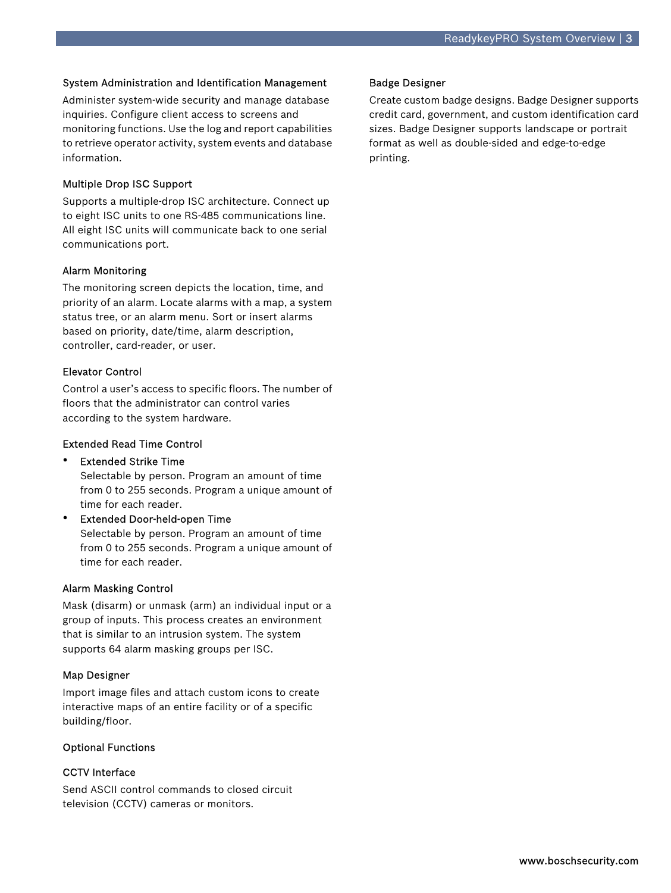#### System Administration and Identification Management

Administer system-wide security and manage database inquiries. Configure client access to screens and monitoring functions. Use the log and report capabilities to retrieve operator activity, system events and database information.

#### Multiple Drop ISC Support

Supports a multiple-drop ISC architecture. Connect up to eight ISC units to one RS-485 communications line. All eight ISC units will communicate back to one serial communications port.

#### Alarm Monitoring

The monitoring screen depicts the location, time, and priority of an alarm. Locate alarms with a map, a system status tree, or an alarm menu. Sort or insert alarms based on priority, date/time, alarm description, controller, card-reader, or user.

#### Elevator Control

Control a user's access to specific floors. The number of floors that the administrator can control varies according to the system hardware.

#### Extended Read Time Control

- Extended Strike Time Selectable by person. Program an amount of time from 0 to 255 seconds. Program a unique amount of time for each reader.
- Extended Door-held-open Time Selectable by person. Program an amount of time from 0 to 255 seconds. Program a unique amount of time for each reader.

#### Alarm Masking Control

Mask (disarm) or unmask (arm) an individual input or a group of inputs. This process creates an environment that is similar to an intrusion system. The system supports 64 alarm masking groups per ISC.

#### Map Designer

Import image files and attach custom icons to create interactive maps of an entire facility or of a specific building/floor.

#### Optional Functions

#### CCTV Interface

Send ASCII control commands to closed circuit television (CCTV) cameras or monitors.

#### Badge Designer

Create custom badge designs. Badge Designer supports credit card, government, and custom identification card sizes. Badge Designer supports landscape or portrait format as well as double-sided and edge-to-edge printing.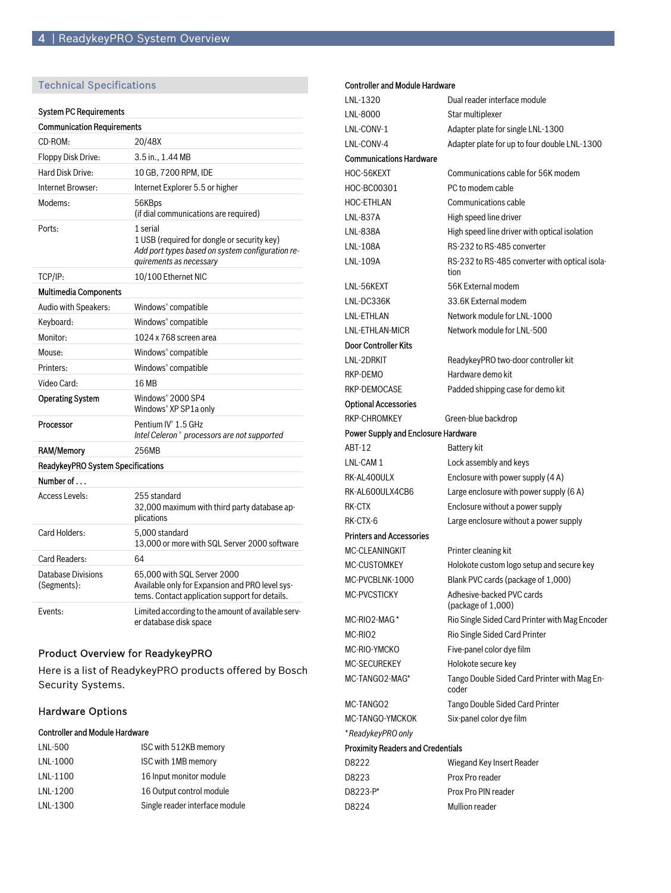### Technical Specifications

| <b>System PC Requirements</b>            |                                                                                                                                        |  |
|------------------------------------------|----------------------------------------------------------------------------------------------------------------------------------------|--|
| <b>Communication Requirements</b>        |                                                                                                                                        |  |
| CD-ROM:                                  | 20/48X                                                                                                                                 |  |
| Floppy Disk Drive:                       | 3.5 in., 1.44 MB                                                                                                                       |  |
| Hard Disk Drive:                         | 10 GB, 7200 RPM, IDE                                                                                                                   |  |
| Internet Browser:                        | Internet Explorer 5.5 or higher                                                                                                        |  |
| Modems:                                  | 56KBps<br>(if dial communications are required)                                                                                        |  |
| Ports:                                   | 1 serial<br>1 USB (required for dongle or security key)<br>Add port types based on system configuration re-<br>quirements as necessary |  |
| TCP/IP:                                  | 10/100 Ethernet NIC                                                                                                                    |  |
| <b>Multimedia Components</b>             |                                                                                                                                        |  |
| Audio with Speakers:                     | Windows® compatible                                                                                                                    |  |
| Keyboard:                                | Windows <sup>®</sup> compatible                                                                                                        |  |
| Monitor:                                 | 1024 x 768 screen area                                                                                                                 |  |
| Mouse:                                   | Windows <sup>®</sup> compatible                                                                                                        |  |
| Printers:                                | Windows <sup>®</sup> compatible                                                                                                        |  |
| Video Card:                              | 16 MB                                                                                                                                  |  |
| <b>Operating System</b>                  | Windows® 2000 SP4<br>Windows® XP SP1a only                                                                                             |  |
| Processor                                | Pentium IV <sup>®</sup> 1.5 GHz<br>Intel Celeron <sup>®</sup> processors are not supported                                             |  |
| RAM/Memory                               | 256MB                                                                                                                                  |  |
| ReadykeyPRO System Specifications        |                                                                                                                                        |  |
| Number of                                |                                                                                                                                        |  |
| Access Levels:                           | 255 standard<br>32,000 maximum with third party database ap-<br>plications                                                             |  |
| Card Holders:                            | 5,000 standard<br>13,000 or more with SQL Server 2000 software                                                                         |  |
| Card Readers:                            | 64                                                                                                                                     |  |
| <b>Database Divisions</b><br>(Segments): | 65,000 with SQL Server 2000<br>Available only for Expansion and PRO level sys-<br>tems. Contact application support for details.       |  |
| Events:                                  | Limited according to the amount of available serv-<br>er database disk space                                                           |  |

#### Product Overview for ReadykeyPRO

Here is a list of ReadykeyPRO products offered by Bosch Security Systems.

#### Hardware Options

#### Controller and Module Hardware

| LNL-500  | ISC with 512KB memory          |
|----------|--------------------------------|
| LNL-1000 | ISC with 1MB memory            |
| LNL-1100 | 16 Input monitor module        |
| LNL-1200 | 16 Output control module       |
| LNL-1300 | Single reader interface module |

| <b>Controller and Module Hardware</b>      |                                                        |
|--------------------------------------------|--------------------------------------------------------|
| LNL-1320                                   | Dual reader interface module                           |
|                                            |                                                        |
| LNL-8000<br>LNL-CONV-1                     | Star multiplexer                                       |
| LNL-CONV-4                                 | Adapter plate for single LNL-1300                      |
| <b>Communications Hardware</b>             | Adapter plate for up to four double LNL-1300           |
| HOC-56KEXT                                 | Communications cable for 56K modem                     |
| HOC-BC00301                                | PC to modem cable                                      |
| HOC-ETHLAN                                 | Communications cable                                   |
| <b>LNL-837A</b>                            | High speed line driver                                 |
| <b>LNL-838A</b>                            | High speed line driver with optical isolation          |
| <b>LNL-108A</b>                            | RS-232 to RS-485 converter                             |
| LNL-109A                                   | RS-232 to RS-485 converter with optical isola-<br>tion |
| LNL-56KEXT                                 | 56K External modem                                     |
| LNL-DC336K                                 | 33.6K External modem                                   |
| LNL-ETHLAN                                 | Network module for LNL-1000                            |
| LNL-ETHLAN-MICR                            | Network module for LNL-500                             |
| <b>Door Controller Kits</b>                |                                                        |
| LNL-2DRKIT                                 | ReadykeyPRO two-door controller kit                    |
| RKP-DEMO                                   | Hardware demo kit                                      |
| RKP-DEMOCASE                               | Padded shipping case for demo kit                      |
| <b>Optional Accessories</b>                |                                                        |
| RKP-CHROMKEY                               | Green-blue backdrop                                    |
| <b>Power Supply and Enclosure Hardware</b> |                                                        |
| ABT-12                                     | Battery kit                                            |
| LNL-CAM 1                                  | Lock assembly and keys                                 |
| RK-AL400ULX                                | Enclosure with power supply (4 A)                      |
| RK-AL600ULX4CB6                            | Large enclosure with power supply (6 A)                |
| RK-CTX                                     | Enclosure without a power supply                       |
| RK-CTX-6                                   | Large enclosure without a power supply                 |
| <b>Printers and Accessories</b>            |                                                        |
| <b>MC-CLEANINGKIT</b>                      | Printer cleaning kit                                   |
| <b>MC-CUSTOMKEY</b>                        | Holokote custom logo setup and secure key              |
| MC-PVCBLNK-1000                            | Blank PVC cards (package of 1,000)                     |
| <b>MC-PVCSTICKY</b>                        | Adhesive-backed PVC cards<br>(package of 1,000)        |
| MC-RIO2-MAG*                               | Rio Single Sided Card Printer with Mag Encoder         |
| MC-RIO <sub>2</sub>                        | Rio Single Sided Card Printer                          |
| MC-RIO-YMCKO                               | Five-panel color dye film                              |
| <b>MC-SECUREKEY</b>                        | Holokote secure key                                    |
| MC-TANGO2-MAG*                             | Tango Double Sided Card Printer with Mag En-<br>coder  |
| <b>MC-TANGO2</b>                           | Tango Double Sided Card Printer                        |
| MC-TANGO-YMCKOK<br>*ReadykeyPRO only       | Six-panel color dye film                               |
| <b>Proximity Readers and Credentials</b>   |                                                        |
| D8222                                      | Wiegand Key Insert Reader                              |
| D8223                                      | Prox Pro reader                                        |
| D8223-P*                                   | Prox Pro PIN reader                                    |
| D8224                                      | <b>Mullion reader</b>                                  |
|                                            |                                                        |